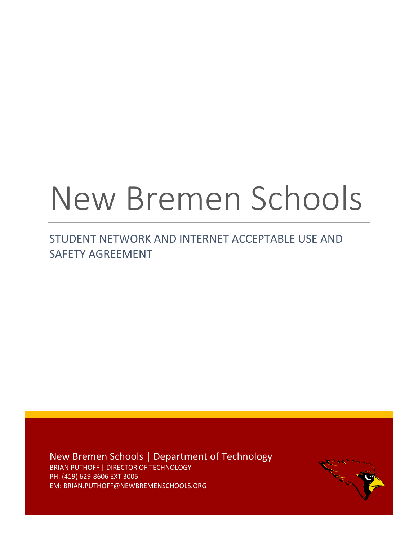# New Bremen Schools

STUDENT NETWORK AND INTERNET ACCEPTABLE USE AND SAFETY AGREEMENT

New Bremen Schools | Department of Technology BRIAN PUTHOFF | DIRECTOR OF TECHNOLOGY PH: (419) 629-8606 EXT 3005 EM: BRIAN.PUTHOFF@NEWBREMENSCHOOLS.ORG

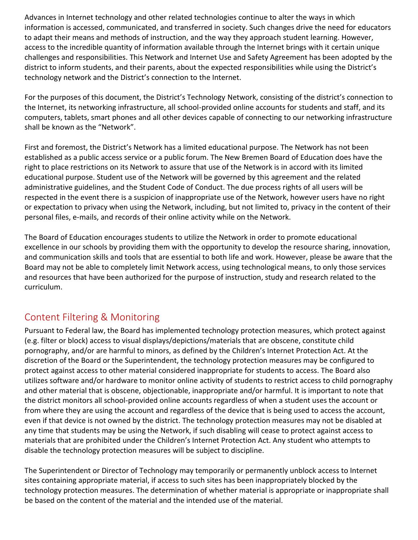Advances in Internet technology and other related technologies continue to alter the ways in which information is accessed, communicated, and transferred in society. Such changes drive the need for educators to adapt their means and methods of instruction, and the way they approach student learning. However, access to the incredible quantity of information available through the Internet brings with it certain unique challenges and responsibilities. This Network and Internet Use and Safety Agreement has been adopted by the district to inform students, and their parents, about the expected responsibilities while using the District's technology network and the District's connection to the Internet.

For the purposes of this document, the District's Technology Network, consisting of the district's connection to the Internet, its networking infrastructure, all school-provided online accounts for students and staff, and its computers, tablets, smart phones and all other devices capable of connecting to our networking infrastructure shall be known as the "Network".

First and foremost, the District's Network has a limited educational purpose. The Network has not been established as a public access service or a public forum. The New Bremen Board of Education does have the right to place restrictions on its Network to assure that use of the Network is in accord with its limited educational purpose. Student use of the Network will be governed by this agreement and the related administrative guidelines, and the Student Code of Conduct. The due process rights of all users will be respected in the event there is a suspicion of inappropriate use of the Network, however users have no right or expectation to privacy when using the Network, including, but not limited to, privacy in the content of their personal files, e-mails, and records of their online activity while on the Network.

The Board of Education encourages students to utilize the Network in order to promote educational excellence in our schools by providing them with the opportunity to develop the resource sharing, innovation, and communication skills and tools that are essential to both life and work. However, please be aware that the Board may not be able to completely limit Network access, using technological means, to only those services and resources that have been authorized for the purpose of instruction, study and research related to the curriculum.

# Content Filtering & Monitoring

Pursuant to Federal law, the Board has implemented technology protection measures, which protect against (e.g. filter or block) access to visual displays/depictions/materials that are obscene, constitute child pornography, and/or are harmful to minors, as defined by the Children's Internet Protection Act. At the discretion of the Board or the Superintendent, the technology protection measures may be configured to protect against access to other material considered inappropriate for students to access. The Board also utilizes software and/or hardware to monitor online activity of students to restrict access to child pornography and other material that is obscene, objectionable, inappropriate and/or harmful. It is important to note that the district monitors all school-provided online accounts regardless of when a student uses the account or from where they are using the account and regardless of the device that is being used to access the account, even if that device is not owned by the district. The technology protection measures may not be disabled at any time that students may be using the Network, if such disabling will cease to protect against access to materials that are prohibited under the Children's Internet Protection Act. Any student who attempts to disable the technology protection measures will be subject to discipline.

The Superintendent or Director of Technology may temporarily or permanently unblock access to Internet sites containing appropriate material, if access to such sites has been inappropriately blocked by the technology protection measures. The determination of whether material is appropriate or inappropriate shall be based on the content of the material and the intended use of the material.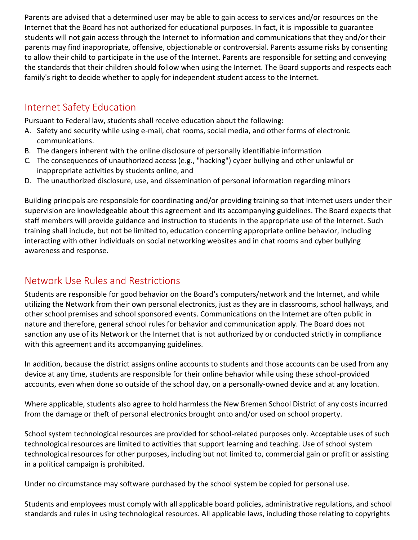Parents are advised that a determined user may be able to gain access to services and/or resources on the Internet that the Board has not authorized for educational purposes. In fact, it is impossible to guarantee students will not gain access through the Internet to information and communications that they and/or their parents may find inappropriate, offensive, objectionable or controversial. Parents assume risks by consenting to allow their child to participate in the use of the Internet. Parents are responsible for setting and conveying the standards that their children should follow when using the Internet. The Board supports and respects each family's right to decide whether to apply for independent student access to the Internet.

### Internet Safety Education

Pursuant to Federal law, students shall receive education about the following:

- A. Safety and security while using e-mail, chat rooms, social media, and other forms of electronic communications.
- B. The dangers inherent with the online disclosure of personally identifiable information
- C. The consequences of unauthorized access (e.g., "hacking") cyber bullying and other unlawful or inappropriate activities by students online, and
- D. The unauthorized disclosure, use, and dissemination of personal information regarding minors

Building principals are responsible for coordinating and/or providing training so that Internet users under their supervision are knowledgeable about this agreement and its accompanying guidelines. The Board expects that staff members will provide guidance and instruction to students in the appropriate use of the Internet. Such training shall include, but not be limited to, education concerning appropriate online behavior, including interacting with other individuals on social networking websites and in chat rooms and cyber bullying awareness and response.

#### Network Use Rules and Restrictions

Students are responsible for good behavior on the Board's computers/network and the Internet, and while utilizing the Network from their own personal electronics, just as they are in classrooms, school hallways, and other school premises and school sponsored events. Communications on the Internet are often public in nature and therefore, general school rules for behavior and communication apply. The Board does not sanction any use of its Network or the Internet that is not authorized by or conducted strictly in compliance with this agreement and its accompanying guidelines.

In addition, because the district assigns online accounts to students and those accounts can be used from any device at any time, students are responsible for their online behavior while using these school-provided accounts, even when done so outside of the school day, on a personally-owned device and at any location.

Where applicable, students also agree to hold harmless the New Bremen School District of any costs incurred from the damage or theft of personal electronics brought onto and/or used on school property.

School system technological resources are provided for school-related purposes only. Acceptable uses of such technological resources are limited to activities that support learning and teaching. Use of school system technological resources for other purposes, including but not limited to, commercial gain or profit or assisting in a political campaign is prohibited.

Under no circumstance may software purchased by the school system be copied for personal use.

Students and employees must comply with all applicable board policies, administrative regulations, and school standards and rules in using technological resources. All applicable laws, including those relating to copyrights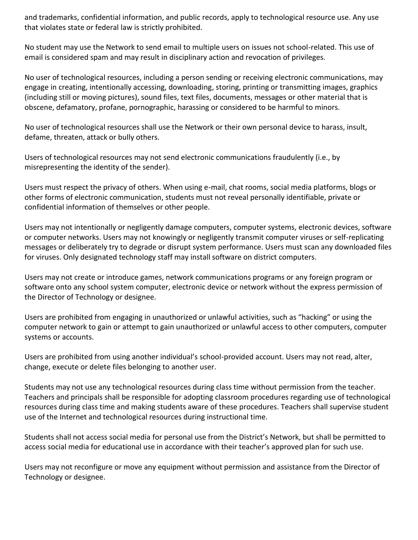and trademarks, confidential information, and public records, apply to technological resource use. Any use that violates state or federal law is strictly prohibited.

No student may use the Network to send email to multiple users on issues not school-related. This use of email is considered spam and may result in disciplinary action and revocation of privileges.

No user of technological resources, including a person sending or receiving electronic communications, may engage in creating, intentionally accessing, downloading, storing, printing or transmitting images, graphics (including still or moving pictures), sound files, text files, documents, messages or other material that is obscene, defamatory, profane, pornographic, harassing or considered to be harmful to minors.

No user of technological resources shall use the Network or their own personal device to harass, insult, defame, threaten, attack or bully others.

Users of technological resources may not send electronic communications fraudulently (i.e., by misrepresenting the identity of the sender).

Users must respect the privacy of others. When using e-mail, chat rooms, social media platforms, blogs or other forms of electronic communication, students must not reveal personally identifiable, private or confidential information of themselves or other people.

Users may not intentionally or negligently damage computers, computer systems, electronic devices, software or computer networks. Users may not knowingly or negligently transmit computer viruses or self-replicating messages or deliberately try to degrade or disrupt system performance. Users must scan any downloaded files for viruses. Only designated technology staff may install software on district computers.

Users may not create or introduce games, network communications programs or any foreign program or software onto any school system computer, electronic device or network without the express permission of the Director of Technology or designee.

Users are prohibited from engaging in unauthorized or unlawful activities, such as "hacking" or using the computer network to gain or attempt to gain unauthorized or unlawful access to other computers, computer systems or accounts.

Users are prohibited from using another individual's school-provided account. Users may not read, alter, change, execute or delete files belonging to another user.

Students may not use any technological resources during class time without permission from the teacher. Teachers and principals shall be responsible for adopting classroom procedures regarding use of technological resources during class time and making students aware of these procedures. Teachers shall supervise student use of the Internet and technological resources during instructional time.

Students shall not access social media for personal use from the District's Network, but shall be permitted to access social media for educational use in accordance with their teacher's approved plan for such use.

Users may not reconfigure or move any equipment without permission and assistance from the Director of Technology or designee.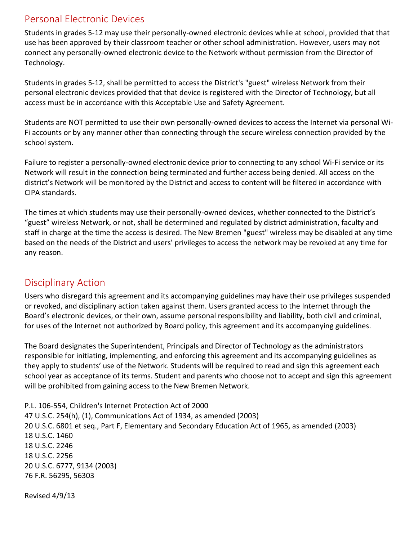#### Personal Electronic Devices

Students in grades 5-12 may use their personally-owned electronic devices while at school, provided that that use has been approved by their classroom teacher or other school administration. However, users may not connect any personally-owned electronic device to the Network without permission from the Director of Technology.

Students in grades 5-12, shall be permitted to access the District's "guest" wireless Network from their personal electronic devices provided that that device is registered with the Director of Technology, but all access must be in accordance with this Acceptable Use and Safety Agreement.

Students are NOT permitted to use their own personally-owned devices to access the Internet via personal Wi-Fi accounts or by any manner other than connecting through the secure wireless connection provided by the school system.

Failure to register a personally-owned electronic device prior to connecting to any school Wi-Fi service or its Network will result in the connection being terminated and further access being denied. All access on the district's Network will be monitored by the District and access to content will be filtered in accordance with CIPA standards.

The times at which students may use their personally-owned devices, whether connected to the District's "guest" wireless Network, or not, shall be determined and regulated by district administration, faculty and staff in charge at the time the access is desired. The New Bremen "guest" wireless may be disabled at any time based on the needs of the District and users' privileges to access the network may be revoked at any time for any reason.

# Disciplinary Action

Users who disregard this agreement and its accompanying guidelines may have their use privileges suspended or revoked, and disciplinary action taken against them. Users granted access to the Internet through the Board's electronic devices, or their own, assume personal responsibility and liability, both civil and criminal, for uses of the Internet not authorized by Board policy, this agreement and its accompanying guidelines.

The Board designates the Superintendent, Principals and Director of Technology as the administrators responsible for initiating, implementing, and enforcing this agreement and its accompanying guidelines as they apply to students' use of the Network. Students will be required to read and sign this agreement each school year as acceptance of its terms. Student and parents who choose not to accept and sign this agreement will be prohibited from gaining access to the New Bremen Network.

P.L. 106-554, Children's Internet Protection Act of 2000 U.S.C. 254(h), (1), Communications Act of 1934, as amended (2003) U.S.C. 6801 et seq., Part F, Elementary and Secondary Education Act of 1965, as amended (2003) U.S.C. 1460 U.S.C. 2246 U.S.C. 2256 20 U.S.C. 6777, 9134 (2003) 76 F.R. 56295, 56303

Revised 4/9/13